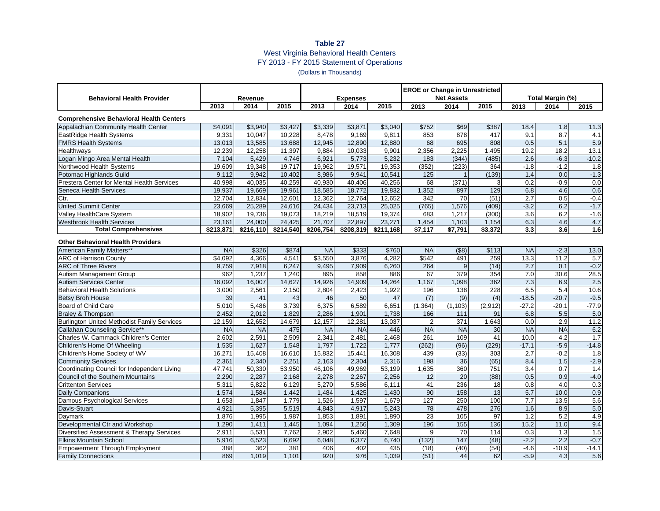## **Table 27** West Virginia Behavioral Health Centers FY 2013 - FY 2015 Statement of Operations (Dollars in Thousands)

| <b>Behavioral Health Provider</b>                  | Revenue   |           |           | <b>Expenses</b> |           |           | <b>EROE or Change in Unrestricted</b><br><b>Net Assets</b> |                  |                 | Total Margin (%) |                  |                  |  |
|----------------------------------------------------|-----------|-----------|-----------|-----------------|-----------|-----------|------------------------------------------------------------|------------------|-----------------|------------------|------------------|------------------|--|
|                                                    | 2013      | 2014      | 2015      | 2013            | 2014      | 2015      | 2013                                                       | 2014             | 2015            | 2013             | 2014             | 2015             |  |
| <b>Comprehensive Behavioral Health Centers</b>     |           |           |           |                 |           |           |                                                            |                  |                 |                  |                  |                  |  |
| Appalachian Community Health Center                | \$4,091   | \$3,940   | \$3,427   | \$3,339         | \$3,871   | \$3,040   | \$752                                                      | \$69             | \$387           | 18.4             | 1.8              | 11.3             |  |
| EastRidge Health Systems                           | 9,331     | 10.047    | 10.228    | 8,478           | 9,169     | 9.811     | 853                                                        | 878              | 417             | 9.1              | 8.7              | 4.1              |  |
| <b>FMRS Health Systems</b>                         | 13,013    | 13.585    | 13.688    | 12.945          | 12.890    | 12.880    | 68                                                         | 695              | 808             | 0.5              | 5.1              | 5.9              |  |
| Healthways                                         | 12,239    | 12,258    | 11,397    | 9,884           | 10,033    | 9,901     | 2,356                                                      | 2.225            | 1,495           | 19.2             | 18.2             | 13.1             |  |
| Logan Mingo Area Mental Health                     | 7,104     | 5.429     | 4.746     | 6,921           | 5.773     | 5.232     | 183                                                        | (344)            | (485)           | 2.6              | $-6.3$           | $-10.2$          |  |
| Northwood Health Systems                           | 19,609    | 19,348    | 19.717    | 19,962          | 19,571    | 19.353    | (352)                                                      | (223)            | 364             | $-1.8$           | $-1.2$           | 1.8              |  |
| Potomac Highlands Guild                            | 9.112     | 9.942     | 10.402    | 8,986           | 9.941     | 10.541    | $\overline{125}$                                           |                  | (139)           | $\overline{1.4}$ | 0.0              | $-1.3$           |  |
| Prestera Center for Mental Health Services         | 40,998    | 40,035    | 40,259    | 40,930          | 40,406    | 40,256    | 68                                                         | (371)            |                 | 0.2              | $-0.9$           | 0.0              |  |
| Seneca Health Services                             | 19,937    | 19,669    | 19,961    | 18,585          | 18,772    | 19,832    | 1,352                                                      | 897              | 129             | 6.8              | 4.6              | 0.6              |  |
| Ctr.                                               | 12,704    | 12,834    | 12,601    | 12,362          | 12,764    | 12,652    | 342                                                        | 70               | (51)            | 2.7              | 0.5              | $-0.4$           |  |
| <b>United Summit Center</b>                        | 23,669    | 25,289    | 24,616    | 24,434          | 23,713    | 25,025    | (765)                                                      | 1,576            | (409)           | $-3.2$           | 6.2              | $-1.7$           |  |
| <b>Valley HealthCare System</b>                    | 18,902    | 19,736    | 19.073    | 18,219          | 18,519    | 19,374    | 683                                                        | 1,217            | (300)           | 3.6              | 6.2              | $-1.6$           |  |
| <b>Westbrook Health Services</b>                   | 23,161    | 24.000    | 24.425    | 21.707          | 22.897    | 23,271    | 1,454                                                      | 1,103            | 1.154           | 6.3              | 4.6              | 4.7              |  |
| <b>Total Comprehensives</b>                        | \$213,871 | \$216,110 | \$214,540 | \$206,754       | \$208,319 | \$211,168 | \$7,117                                                    | \$7,791          | \$3,372         | 3.3              | 3.6              | 1.6              |  |
| <b>Other Behavioral Health Providers</b>           |           |           |           |                 |           |           |                                                            |                  |                 |                  |                  |                  |  |
| American Family Matters**                          | <b>NA</b> | \$326     | \$874     | N <sub>A</sub>  | \$333     | \$760     | <b>NA</b>                                                  | $($ \$8)         | \$113           | <b>NA</b>        | $-2.3$           | 13.0             |  |
| <b>ARC of Harrison County</b>                      | \$4.092   | 4.366     | 4.54'     | \$3.550         | 3.876     | 4.282     | \$542                                                      | 491              | 259             | 13.3             | 11.2             | 5.7              |  |
| <b>ARC of Three Rivers</b>                         | 9,759     | 7,918     | 6,247     | 9,495           | 7,909     | 6,260     | 264                                                        | $\mathbf{q}$     | (14)            | 2.7              | 0.1              | $-0.2$           |  |
| Autism Management Group                            | 962       | 1,237     | 1,240     | 895             | 858       | 886       | 67                                                         | 379              | 354             | 7.0              | 30.6             | 28.5             |  |
| <b>Autism Services Center</b>                      | 16,092    | 16,007    | 14,627    | 14,926          | 14,909    | 14,264    | 1,167                                                      | 1,098            | 362             | 7.3              | 6.9              | 2.5              |  |
| <b>Behavioral Health Solutions</b>                 | 3,000     | 2,561     | 2,150     | 2,804           | 2,423     | 1,922     | 196                                                        | 138              | 228             | 6.5              | 5.4              | 10.6             |  |
| <b>Betsy Broh House</b>                            | 39        | 41        | 43        | 46              | 50        | 47        | (7)                                                        | (9)              | (4)             | $-18.5$          | $-20.7$          | $-9.5$           |  |
| Board of Child Care                                | 5,010     | 5,486     | 3,739     | 6,375           | 6,589     | 6,651     | (1, 364)                                                   | (1, 103)         | (2,912)         | $-27.2$          | $-20.1$          | $-77.9$          |  |
| <b>Braley &amp; Thompson</b>                       | 2.452     | 2.012     | 1.829     | 2.286           | 1.901     | 1,738     | 166                                                        | 111              | 91              | 6.8              | 5.5              | 5.0              |  |
| <b>Burlington United Methodist Family Services</b> | 12,159    | 12,652    | 14,679    | 12,157          | 12,281    | 13,037    | $\overline{2}$                                             | 371              | 1,643           | 0.0              | 2.9              | 11.2             |  |
| Callahan Counseling Service**                      | <b>NA</b> | <b>NA</b> | 475       | <b>NA</b>       | <b>NA</b> | 446       | <b>NA</b>                                                  | <b>NA</b>        | 30              | <b>NA</b>        | <b>NA</b>        | 6.2              |  |
| Charles W. Cammack Children's Center               | 2,602     | 2,591     | 2,509     | 2,341           | 2,481     | 2.468     | 261                                                        | 109              | 41              | 10.0             | 4.2              | $\overline{1.7}$ |  |
| Children's Home Of Wheeling                        | 1,535     | 1.627     | 1.548     | 1,797           | 1.722     | 1.777     | (262)                                                      | (96)             | (229)           | $-17.1$          | $-5.9$           | $-14.8$          |  |
| Children's Home Society of WV                      | 16,271    | 15,408    | 16,610    | 15,832          | 15,441    | 16,308    | 439                                                        | (33)             | 303             | 2.7              | $-0.2$           | 1.8              |  |
| <b>Community Services</b>                          | 2.361     | 2.340     | 2.251     | 2,163           | 2.304     | 2.316     | 198                                                        | $\overline{36}$  | $\overline{65}$ | 8.4              | 1.5              | $-2.9$           |  |
| Coordinating Council for Independent Living        | 47,741    | 50,330    | 53,950    | 46,106          | 49,969    | 53,199    | 1,635                                                      | 360              | 751             | 3.4              | 0.7              | 1.4              |  |
| Council of the Southern Mountains                  | 2,290     | 2,287     | 2,168     | 2,278           | 2,267     | 2,256     | 12                                                         | 20               | (88)            | 0.5              | 0.9              | $-4.0$           |  |
| <b>Crittenton Services</b>                         | 5,311     | 5,822     | 6,129     | 5,270           | 5,586     | 6,111     | 41                                                         | 236              | 18              | 0.8              | 4.0              | 0.3              |  |
| Daily Companions                                   | 1,574     | 1,584     | 1,442     | 1,484           | 1,425     | 1,430     | 90                                                         | 158              | 13              | 5.7              | 10.0             | 0.9              |  |
| Damous Psychological Services                      | 1,653     | 1,847     | 1,779     | 1,526           | 1,597     | 1,679     | 127                                                        | 250              | 100             | 7.7              | 13.5             | 5.6              |  |
| Davis-Stuart                                       | 4,921     | 5,395     | 5,519     | 4,843           | 4,917     | 5,243     | 78                                                         | 478              | 276             | 1.6              | 8.9              | 5.0              |  |
| Daymark                                            | 1,876     | 1,995     | 1,987     | 1,853           | 1,891     | 1,890     | 23                                                         | 105              | 97              | 1.2              | 5.2              | 4.9              |  |
| Developmental Ctr and Workshop                     | 1,290     | 1,411     | 1.445     | 1,094           | 1,256     | 1,309     | 196                                                        | 155              | 136             | 15.2             | 11.0             | 9.4              |  |
| Diversified Assessment & Therapy Services          | 2,911     | 5,531     | 7,762     | 2,902           | 5,460     | 7,648     | 9                                                          | 70               | 114             | 0.3              | 1.3              | 1.5              |  |
| <b>Elkins Mountain School</b>                      | 5,916     | 6,523     | 6,692     | 6,048           | 6,377     | 6,740     | (132)                                                      | $\overline{147}$ | (48)            | $-2.2$           | $\overline{2.2}$ | $-0.7$           |  |
| <b>Empowerment Through Employment</b>              | 388       | 362       | 381       | 406             | 402       | 435       | (18)                                                       | (40)             | (54)            | $-4.6$           | $-10.9$          | $-14.1$          |  |
| <b>Family Connections</b>                          | 869       | 1.019     | 1.101     | 920             | 976       | 1.039     | (51)                                                       | 44               | 62              | $-5.9$           | 4.3              | 5.6              |  |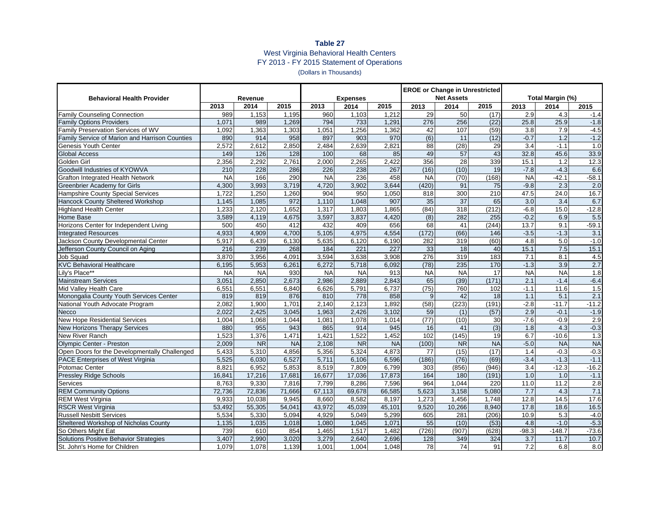## **Table 27** West Virginia Behavioral Health Centers FY 2013 - FY 2015 Statement of Operations (Dollars in Thousands)

| <b>Net Assets</b><br>Total Margin (%)<br><b>Behavioral Health Provider</b><br><b>Expenses</b><br>Revenue<br>2013<br>2014<br>2015<br>2014<br>2013<br>2014<br>2015<br>2013<br>2014<br>2013<br>2015<br>2015<br>50<br>2.9<br>989<br>1,153<br>1,195<br>960<br>1,103<br>1,212<br>29<br>(17)<br>4.3<br><b>Family Counseling Connection</b><br>$-1.4$<br>794<br>276<br>25.9<br>1,071<br>989<br>1,269<br>733<br>1,291<br>256<br>(22)<br>25.8<br>$-1.8$<br><b>Family Options Providers</b><br>Family Preservation Services of WV<br>1,363<br>1,051<br>1,256<br>1,362<br>42<br>107<br>(59)<br>7.9<br>$-4.5$<br>1,092<br>1,303<br>3.8<br>(6)<br>$-1.2$<br>970<br>$\overline{11}$<br>(12)<br>$-0.7$<br>$\overline{1.2}$<br>Family Service of Marion and Harrison Counties<br>890<br>914<br>958<br>897<br>903<br>1.0<br>Genesis Youth Center<br>2,572<br>2,612<br>2,850<br>2,484<br>2,639<br>2,821<br>88<br>(28)<br>29<br>3.4<br>$-1.1$<br>100<br>49<br>43<br>33.9<br><b>Global Access</b><br>149<br>126<br>128<br>68<br>85<br>57<br>32.8<br>45.6<br>339<br>12.3<br>Golden Girl<br>2,356<br>2,292<br>2,761<br>2,000<br>2,265<br>2,422<br>356<br>28<br>15.1<br>1.2 |
|-----------------------------------------------------------------------------------------------------------------------------------------------------------------------------------------------------------------------------------------------------------------------------------------------------------------------------------------------------------------------------------------------------------------------------------------------------------------------------------------------------------------------------------------------------------------------------------------------------------------------------------------------------------------------------------------------------------------------------------------------------------------------------------------------------------------------------------------------------------------------------------------------------------------------------------------------------------------------------------------------------------------------------------------------------------------------------------------------------------------------------------------------------|
|                                                                                                                                                                                                                                                                                                                                                                                                                                                                                                                                                                                                                                                                                                                                                                                                                                                                                                                                                                                                                                                                                                                                                     |
|                                                                                                                                                                                                                                                                                                                                                                                                                                                                                                                                                                                                                                                                                                                                                                                                                                                                                                                                                                                                                                                                                                                                                     |
|                                                                                                                                                                                                                                                                                                                                                                                                                                                                                                                                                                                                                                                                                                                                                                                                                                                                                                                                                                                                                                                                                                                                                     |
|                                                                                                                                                                                                                                                                                                                                                                                                                                                                                                                                                                                                                                                                                                                                                                                                                                                                                                                                                                                                                                                                                                                                                     |
|                                                                                                                                                                                                                                                                                                                                                                                                                                                                                                                                                                                                                                                                                                                                                                                                                                                                                                                                                                                                                                                                                                                                                     |
|                                                                                                                                                                                                                                                                                                                                                                                                                                                                                                                                                                                                                                                                                                                                                                                                                                                                                                                                                                                                                                                                                                                                                     |
|                                                                                                                                                                                                                                                                                                                                                                                                                                                                                                                                                                                                                                                                                                                                                                                                                                                                                                                                                                                                                                                                                                                                                     |
|                                                                                                                                                                                                                                                                                                                                                                                                                                                                                                                                                                                                                                                                                                                                                                                                                                                                                                                                                                                                                                                                                                                                                     |
|                                                                                                                                                                                                                                                                                                                                                                                                                                                                                                                                                                                                                                                                                                                                                                                                                                                                                                                                                                                                                                                                                                                                                     |
| 228<br>286<br>267<br>(16)<br>19<br>$-7.8$<br>6.6<br>Goodwill Industries of KYOWVA<br>210<br>226<br>238<br>(10)<br>$-4.3$                                                                                                                                                                                                                                                                                                                                                                                                                                                                                                                                                                                                                                                                                                                                                                                                                                                                                                                                                                                                                            |
| <b>NA</b><br>166<br>290<br><b>NA</b><br>236<br>458<br><b>NA</b><br>(168)<br><b>NA</b><br>$-42.1$<br>$-58.1$<br><b>Grafton Integrated Health Network</b><br>(70)                                                                                                                                                                                                                                                                                                                                                                                                                                                                                                                                                                                                                                                                                                                                                                                                                                                                                                                                                                                     |
| <b>Greenbrier Academy for Girls</b><br>3,993<br>3,719<br>4,720<br>3,902<br>3,644<br>(420)<br>$\overline{75}$<br>$-9.8$<br>2.3<br>$\overline{2.0}$<br>4,300<br>91                                                                                                                                                                                                                                                                                                                                                                                                                                                                                                                                                                                                                                                                                                                                                                                                                                                                                                                                                                                    |
| 16.7<br>1.250<br>904<br>950<br>300<br>210<br>24.0<br>Hampshire County Special Services<br>1,722<br>1,260<br>1,050<br>818<br>47.5                                                                                                                                                                                                                                                                                                                                                                                                                                                                                                                                                                                                                                                                                                                                                                                                                                                                                                                                                                                                                    |
| 35<br>$\overline{37}$<br>6.7<br>1,145<br>1,085<br>972<br>1,110<br>1,048<br>907<br>65<br>3.0<br>3.4<br>Hancock County Sheltered Workshop                                                                                                                                                                                                                                                                                                                                                                                                                                                                                                                                                                                                                                                                                                                                                                                                                                                                                                                                                                                                             |
| 1,652<br>1.865<br>(84)<br>$-12.8$<br><b>Highland Health Center</b><br>1,233<br>2,120<br>1,317<br>1,803<br>318<br>(212)<br>$-6.8$<br>15.0                                                                                                                                                                                                                                                                                                                                                                                                                                                                                                                                                                                                                                                                                                                                                                                                                                                                                                                                                                                                            |
| 282<br>5.5<br><b>Home Base</b><br>3,589<br>4,119<br>4,675<br>3,597<br>3,837<br>4,420<br>(8)<br>255<br>$-0.2$<br>6.9                                                                                                                                                                                                                                                                                                                                                                                                                                                                                                                                                                                                                                                                                                                                                                                                                                                                                                                                                                                                                                 |
| 432<br>656<br>(244)<br>13.7<br>9.1<br>$-59.1$<br>Horizons Center for Independent Living<br>500<br>450<br>412<br>409<br>68<br>41                                                                                                                                                                                                                                                                                                                                                                                                                                                                                                                                                                                                                                                                                                                                                                                                                                                                                                                                                                                                                     |
| 4.933<br>4.909<br>4,700<br>5,105<br>4,975<br>4.554<br>(172)<br>(66)<br>146<br>$-1.3$<br>3.1<br><b>Integrated Resources</b><br>$-3.5$                                                                                                                                                                                                                                                                                                                                                                                                                                                                                                                                                                                                                                                                                                                                                                                                                                                                                                                                                                                                                |
| (60)<br>5.0<br>$-1.0$<br>5,917<br>6,439<br>6,130<br>5,635<br>6,120<br>6,190<br>282<br>319<br>4.8<br>Jackson County Developmental Center                                                                                                                                                                                                                                                                                                                                                                                                                                                                                                                                                                                                                                                                                                                                                                                                                                                                                                                                                                                                             |
| 15.1<br>216<br>239<br>268<br>221<br>227<br>33<br>15.1<br>7.5<br>Jefferson County Council on Aging<br>184<br>18<br>40                                                                                                                                                                                                                                                                                                                                                                                                                                                                                                                                                                                                                                                                                                                                                                                                                                                                                                                                                                                                                                |
| 276<br>183<br>8.1<br>3,870<br>3,956<br>4,091<br>3,594<br>3,638<br>3,908<br>319<br>7.1<br>4.5<br><b>Job Squad</b>                                                                                                                                                                                                                                                                                                                                                                                                                                                                                                                                                                                                                                                                                                                                                                                                                                                                                                                                                                                                                                    |
| 5,953<br>6,261<br>6,272<br>6,092<br>(78)<br>235<br>170<br>$-1.3$<br>3.9<br>2.7<br><b>KVC Behavioral Healthcare</b><br>6,195<br>5,718                                                                                                                                                                                                                                                                                                                                                                                                                                                                                                                                                                                                                                                                                                                                                                                                                                                                                                                                                                                                                |
| <b>NA</b><br>$\overline{1.8}$<br>Lilv's Place**<br>930<br><b>NA</b><br>913<br><b>NA</b><br>17<br><b>NA</b><br><b>NA</b><br><b>NA</b><br><b>NA</b><br><b>NA</b>                                                                                                                                                                                                                                                                                                                                                                                                                                                                                                                                                                                                                                                                                                                                                                                                                                                                                                                                                                                      |
| 3,051<br>2,850<br>2,986<br>2,889<br>2,843<br>65<br>(39)<br>(171)<br>2.1<br>$-6.4$<br>2,673<br>$-1.4$<br><b>Mainstream Services</b>                                                                                                                                                                                                                                                                                                                                                                                                                                                                                                                                                                                                                                                                                                                                                                                                                                                                                                                                                                                                                  |
| 6.551<br>(75)<br>Mid Valley Health Care<br>6,551<br>6,840<br>6.626<br>5,791<br>6,737<br>760<br>102<br>$-1.1$<br>11.6<br>1.5                                                                                                                                                                                                                                                                                                                                                                                                                                                                                                                                                                                                                                                                                                                                                                                                                                                                                                                                                                                                                         |
| 876<br>858<br>2.1<br>Monongalia County Youth Services Center<br>819<br>819<br>810<br>778<br>42<br>18<br>1.1<br>5.1<br>9                                                                                                                                                                                                                                                                                                                                                                                                                                                                                                                                                                                                                                                                                                                                                                                                                                                                                                                                                                                                                             |
| 1.701<br>2,123<br>1.892<br>(58)<br>(223)<br>(191)<br>$-11.7$<br>$-11.2$<br>National Youth Advocate Program<br>2,082<br>1,900<br>2,140<br>$-2.8$                                                                                                                                                                                                                                                                                                                                                                                                                                                                                                                                                                                                                                                                                                                                                                                                                                                                                                                                                                                                     |
| $-1.9$<br><b>Necco</b><br>2,022<br>2,425<br>3,045<br>1,963<br>2,426<br>3,102<br>59<br>2.9<br>$-0.1$<br>(1)<br>(57)                                                                                                                                                                                                                                                                                                                                                                                                                                                                                                                                                                                                                                                                                                                                                                                                                                                                                                                                                                                                                                  |
| (77)<br>2.9<br>New Hope Residential Services<br>1,004<br>1,068<br>1,044<br>1,081<br>1,078<br>1,014<br>(10)<br>30<br>$-7.6$<br>$-0.9$                                                                                                                                                                                                                                                                                                                                                                                                                                                                                                                                                                                                                                                                                                                                                                                                                                                                                                                                                                                                                |
| 955<br>$\overline{(3)}$<br>$-0.3$<br>880<br>943<br>865<br>914<br>945<br>16<br>41<br>1.8<br>4.3<br><b>New Horizons Therapy Services</b>                                                                                                                                                                                                                                                                                                                                                                                                                                                                                                                                                                                                                                                                                                                                                                                                                                                                                                                                                                                                              |
| New River Ranch<br>1,523<br>1,376<br>1,522<br>1,452<br>102<br>(145)<br>19<br>6.7<br>$-10.6$<br>1.3<br>1,471<br>1,421                                                                                                                                                                                                                                                                                                                                                                                                                                                                                                                                                                                                                                                                                                                                                                                                                                                                                                                                                                                                                                |
| <b>NA</b><br><b>NA</b><br><b>NA</b><br>$-5.0$<br><b>NA</b><br><b>NR</b><br><b>NA</b><br>2.108<br><b>NR</b><br>(100)<br><b>NR</b><br>Olympic Center - Preston<br>2,009                                                                                                                                                                                                                                                                                                                                                                                                                                                                                                                                                                                                                                                                                                                                                                                                                                                                                                                                                                               |
| Open Doors for the Developmentally Challenged<br>4,873<br>(17)<br>5,433<br>5,310<br>4,856<br>5,356<br>5,324<br>77<br>(15)<br>1.4<br>$-0.3$<br>$-0.3$                                                                                                                                                                                                                                                                                                                                                                                                                                                                                                                                                                                                                                                                                                                                                                                                                                                                                                                                                                                                |
| $-1.1$<br>(186)<br>(76)<br>(69)<br>$-1.3$<br><b>PACE Enterprises of West Virginia</b><br>5,525<br>6,030<br>6,527<br>5,711<br>6,106<br>6.596<br>$-3.4$                                                                                                                                                                                                                                                                                                                                                                                                                                                                                                                                                                                                                                                                                                                                                                                                                                                                                                                                                                                               |
| $-16.2$<br>6,952<br>5,853<br>7,809<br>6,799<br>303<br>(856)<br>(946)<br>3.4<br>$-12.3$<br>Potomac Center<br>8,821<br>8,519                                                                                                                                                                                                                                                                                                                                                                                                                                                                                                                                                                                                                                                                                                                                                                                                                                                                                                                                                                                                                          |
| 17,036<br>164<br>$-1.1$<br>Pressley Ridge Schools<br>17,216<br>17,681<br>16,677<br>17,873<br>180<br>(191)<br>1.0<br>16,841<br>1.0                                                                                                                                                                                                                                                                                                                                                                                                                                                                                                                                                                                                                                                                                                                                                                                                                                                                                                                                                                                                                   |
| 2.8<br>8,763<br>9,330<br>7,816<br>7,799<br>8,286<br>7,596<br>964<br>1.044<br>220<br>11.0<br>11.2<br><b>Services</b>                                                                                                                                                                                                                                                                                                                                                                                                                                                                                                                                                                                                                                                                                                                                                                                                                                                                                                                                                                                                                                 |
| 7.1<br><b>REM Community Options</b><br>72,836<br>69,678<br>7.7<br>72,736<br>71,666<br>67,113<br>66,585<br>5,623<br>3,158<br>5,080<br>4.3                                                                                                                                                                                                                                                                                                                                                                                                                                                                                                                                                                                                                                                                                                                                                                                                                                                                                                                                                                                                            |
| 8,582<br>17.6<br><b>REM West Virginia</b><br>9,933<br>10,038<br>9,945<br>8,660<br>8,197<br>1,273<br>1,456<br>1,748<br>12.8<br>14.5                                                                                                                                                                                                                                                                                                                                                                                                                                                                                                                                                                                                                                                                                                                                                                                                                                                                                                                                                                                                                  |
| 55,305<br>45,039<br>9,520<br>17.8<br>18.6<br>16.5<br><b>RSCR West Virginia</b><br>53,492<br>54,041<br>43,972<br>45,101<br>10,266<br>8,940                                                                                                                                                                                                                                                                                                                                                                                                                                                                                                                                                                                                                                                                                                                                                                                                                                                                                                                                                                                                           |
| 4,929<br>10.9<br><b>Russell Nesbitt Services</b><br>5,534<br>5,330<br>5,094<br>5,049<br>5,299<br>605<br>281<br>(206)<br>5.3<br>$-4.0$                                                                                                                                                                                                                                                                                                                                                                                                                                                                                                                                                                                                                                                                                                                                                                                                                                                                                                                                                                                                               |
| 55<br>(10)<br>(53)<br>4.8<br>$-1.0$<br>$-5.3$<br>Sheltered Workshop of Nicholas County<br>1,135<br>1,035<br>1,018<br>1,080<br>1,045<br>1,071                                                                                                                                                                                                                                                                                                                                                                                                                                                                                                                                                                                                                                                                                                                                                                                                                                                                                                                                                                                                        |
| (726)<br>$-148.7$<br>$-73.6$<br>So Others Might Eat<br>739<br>610<br>854<br>1,465<br>1,517<br>1,482<br>(907)<br>(628)<br>$-98.3$                                                                                                                                                                                                                                                                                                                                                                                                                                                                                                                                                                                                                                                                                                                                                                                                                                                                                                                                                                                                                    |
| Solutions Positive Behavior Strategies<br>3,407<br>2,990<br>3,279<br>2,640<br>2,696<br>349<br>3.7<br>10.7<br>3,020<br>128<br>324<br>11.7                                                                                                                                                                                                                                                                                                                                                                                                                                                                                                                                                                                                                                                                                                                                                                                                                                                                                                                                                                                                            |
| St. John's Home for Children<br>1,079<br>1,078<br>1,139<br>1,001<br>1,004<br>1,048<br>78<br>74<br>91<br>7.2<br>8.0<br>6.8                                                                                                                                                                                                                                                                                                                                                                                                                                                                                                                                                                                                                                                                                                                                                                                                                                                                                                                                                                                                                           |